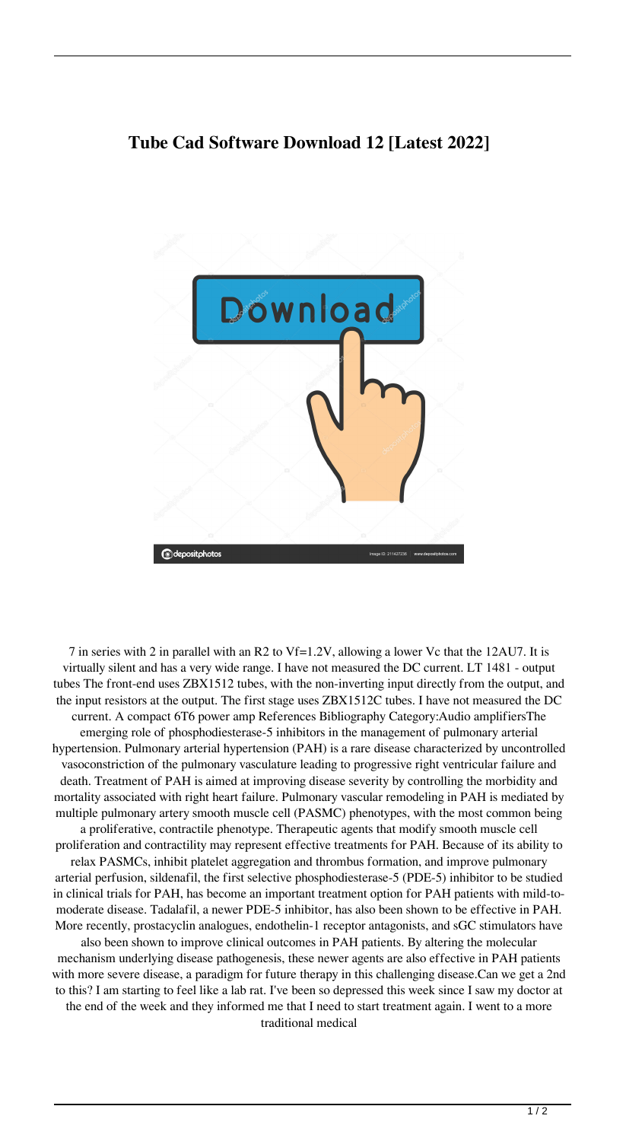## **Tube Cad Software Download 12 [Latest 2022]**



7 in series with 2 in parallel with an R2 to Vf=1.2V, allowing a lower Vc that the 12AU7. It is virtually silent and has a very wide range. I have not measured the DC current. LT 1481 - output tubes The front-end uses ZBX1512 tubes, with the non-inverting input directly from the output, and the input resistors at the output. The first stage uses ZBX1512C tubes. I have not measured the DC current. A compact 6T6 power amp References Bibliography Category:Audio amplifiersThe emerging role of phosphodiesterase-5 inhibitors in the management of pulmonary arterial hypertension. Pulmonary arterial hypertension (PAH) is a rare disease characterized by uncontrolled vasoconstriction of the pulmonary vasculature leading to progressive right ventricular failure and death. Treatment of PAH is aimed at improving disease severity by controlling the morbidity and mortality associated with right heart failure. Pulmonary vascular remodeling in PAH is mediated by multiple pulmonary artery smooth muscle cell (PASMC) phenotypes, with the most common being a proliferative, contractile phenotype. Therapeutic agents that modify smooth muscle cell proliferation and contractility may represent effective treatments for PAH. Because of its ability to relax PASMCs, inhibit platelet aggregation and thrombus formation, and improve pulmonary arterial perfusion, sildenafil, the first selective phosphodiesterase-5 (PDE-5) inhibitor to be studied in clinical trials for PAH, has become an important treatment option for PAH patients with mild-tomoderate disease. Tadalafil, a newer PDE-5 inhibitor, has also been shown to be effective in PAH. More recently, prostacyclin analogues, endothelin-1 receptor antagonists, and sGC stimulators have also been shown to improve clinical outcomes in PAH patients. By altering the molecular mechanism underlying disease pathogenesis, these newer agents are also effective in PAH patients with more severe disease, a paradigm for future therapy in this challenging disease.Can we get a 2nd to this? I am starting to feel like a lab rat. I've been so depressed this week since I saw my doctor at the end of the week and they informed me that I need to start treatment again. I went to a more

traditional medical